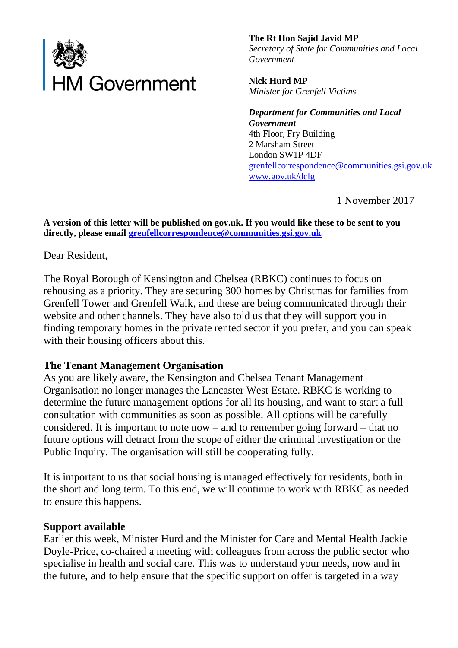

**The Rt Hon Sajid Javid MP** *Secretary of State for Communities and Local Government*

**Nick Hurd MP** *Minister for Grenfell Victims*

*Department for Communities and Local Government* 4th Floor, Fry Building 2 Marsham Street London SW1P 4DF [grenfellcorrespondence@communities.gsi.gov.uk](mailto:grenfellcorrespondence@communities.gsi.gov.uk) [www.gov.uk/dclg](http://www.gov.uk/dclg)

1 November 2017

**A version of this letter will be published on gov.uk. If you would like these to be sent to you directly, please email [grenfellcorrespondence@communities.gsi.gov.uk](mailto:grenfellcorrespondence@communities.gsi.gov.uk)**

Dear Resident,

The Royal Borough of Kensington and Chelsea (RBKC) continues to focus on rehousing as a priority. They are securing 300 homes by Christmas for families from Grenfell Tower and Grenfell Walk, and these are being communicated through their website and other channels. They have also told us that they will support you in finding temporary homes in the private rented sector if you prefer, and you can speak with their housing officers about this.

# **The Tenant Management Organisation**

As you are likely aware, the Kensington and Chelsea Tenant Management Organisation no longer manages the Lancaster West Estate. RBKC is working to determine the future management options for all its housing, and want to start a full consultation with communities as soon as possible. All options will be carefully considered. It is important to note now – and to remember going forward – that no future options will detract from the scope of either the criminal investigation or the Public Inquiry. The organisation will still be cooperating fully.

It is important to us that social housing is managed effectively for residents, both in the short and long term. To this end, we will continue to work with RBKC as needed to ensure this happens.

## **Support available**

Earlier this week, Minister Hurd and the Minister for Care and Mental Health Jackie Doyle-Price, co-chaired a meeting with colleagues from across the public sector who specialise in health and social care. This was to understand your needs, now and in the future, and to help ensure that the specific support on offer is targeted in a way